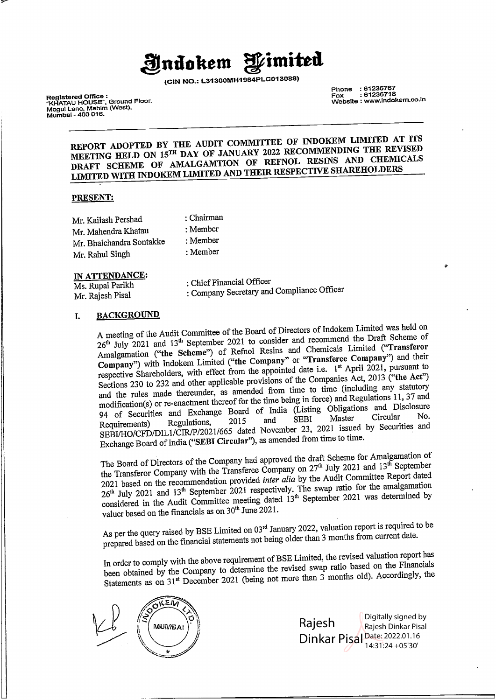# **l!ndo kem ~imitti**

**(CIN NO.:** L31300MH1964PLC013088)

Phone : 61236767 Fax : 61236718 Website : www.indokem.co.in

Registered Office : "KHATAU HOUSE", Ground Floor. Mogul Lane, Mahlm (West), Mumbai - 400 016.

### **REPORT ADOPTED BY THE AUDIT COMMITTEE OF INDOKEM LIMITED AT ITS MEETING HELD ON 15™ DAY OF JANUARY 2022 RECOMMENDING THE REVISED DRAFT SCHEME OF AMALGAMTION OF REFNOL RESINS AND CHEMICALS LIMITED WITH INDOKEM LIMITED AND THEIR RESPECTIVE SHAREHOLDERS**

#### **PRESENT:**

| Mr. Kailash Pershad      | : Chairman |
|--------------------------|------------|
| Mr. Mahendra Khatau      | : Member   |
| Mr. Bhalchandra Sontakke | : Member   |
| Mr. Rahul Singh          | : Member   |

IN **ATTENDANCE:** 

Ms. Rupal Parikh Mr. Rajesh Pisal

: Chief Financial Officer

: Company Secretary and Compliance Officer

### I. **BACKGROUND**

A meeting of the Audit Committee of the Board of Directors of Indokem Limited was held on  $26<sup>th</sup>$  July 2021 and  $13<sup>th</sup>$  September 2021 to consider and recommend the Draft Scheme of Amalgamation **("the Scheme")** of Refnol Resins and Chemicals Limited **("Transferor Company**") with Indokem Limited ("the Company" or "Transferee Company") and their respective Shareholders, with effect from the appointed date i.e. 1<sup>st</sup> April 2021, pursuant to Sections 230 to 232 and other applicable provisions of the Companies Act, 2013 **("the Act")**  and the rules made thereunder, as amended from time to time (including any statutory modification(s) or re-enactment thereof for the time being in force) and Regulations 11, 37 and 94 of Securities and Exchange Board of India (Listing Obligations and Disclosure<br>Pequations 2015 and SEBI Master Circular No. Requirements) Regulations, 2015 and SEBI Master Circular No. SEBI/HO/CFD/DILl/CIR/P/2021/665 dated November 23, 2021 issued by Securities and Exchange Board of India **("SEBI Circular"),** as amended from time to time.

The Board of Directors of the Company had approved the draft Scheme for Amalgamation of The Board of Directors of the Company time of  $\Gamma$ <br>the Transferor Company with the Transferee Company on  $27^{\text{th}}$  July 2021 and  $13^{\text{th}}$  September 2021 based on the recommendation provided *inter alia* by the Audit Committee Report dated 26<sup>th</sup> July 2021 and 13<sup>th</sup> September 2021 respectively. The swap ratio for the amalgamation  $\epsilon$  considered in the Audit Committee meeting dated  $13<sup>th</sup>$  September 2021 was determined by valuer based on the financials as on  $30<sup>th</sup>$  June 2021.

As per the query raised by BSE Limited on  $03<sup>rd</sup>$  January 2022, valuation report is required to be prepared based on the financial statements not being older than 3 months from current date.

In order to comply with the above requirement of BSE Limited, the revised valuation report has been obtained by the Company to determine the revised swap ratio based on the Financials Statements as on  $31^{st}$  December 2021 (being not more than  $\hat{3}$  months old). Accordingly, the



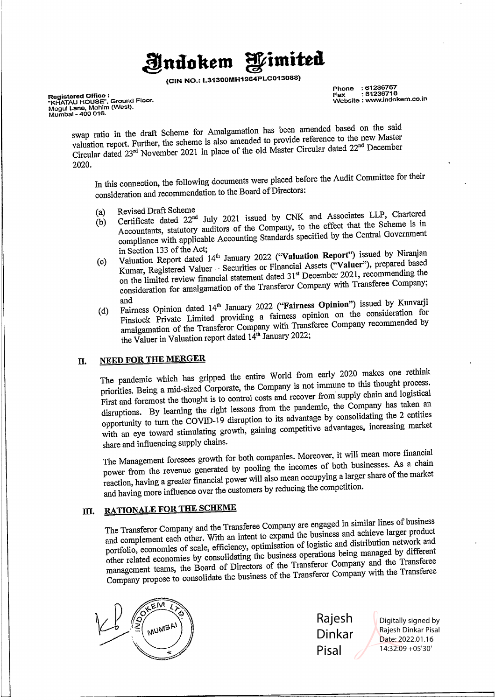# **J1!ndo kem ~imiud**

**(CIN NO.: L31300MH1964PLC013088)** 

**Registered Office :<br>"KHATAU HOUSE", Ground Floor.<br>Mogul Lane, Mahim (West),<br>Mumbai - 400 016.** 

**Phone : 61236767 Fax : 61236718 Website : www.indokem.co.in** 

swap ratio in the draft Scheme for Amalgamation has been amended based on the said valuation report. Further, the scheme is also amended to provide reference to the new Master valuation report. Further, the scheme is also amended to provide reference to the new Master Valuation report: I divide, the external time place of the old Master Circular dated 22<sup>nd</sup> December 2020.

In this connection, the following documents were placed before the Audit Committee for their consideration and recommendation to the Board of Directors:

- 
- (a) Revised Draft Scheme<br>(b) Certificate dated 22<sup>nd</sup> July 2021 issued by CNK and Associates LLP, Chartered Accountants, statutory auditors of the Company, to the effect that the Scheme is in compliance with applicable Accounting Standards specified by the Central Government in Section 133 of the Act;
- (c) Valuation Report dated 14<sup>th</sup> January 2022 ("Valuation Report") issued by Niranjan (c) Valuation Report dated 14<sup>th</sup> January 2022 Kumar, Registered Valuer - Securities or Financial Assets **("Valuer"),** prepared based on the limited review financial statement dated 31 st December 2021, recommending the consideration for amalgamation of the Transferor Company with Transferee Company;
- and (d) Fairness Opinion dated 14u, January 2022 **("Fairness Opinion")** issued by Kunvarji Finstock Private Limited providing a fairness opinion on the consideration for amalgamation of the Transferor Company with Transferee Company recommended by the Valuer in Valuation report dated  $14<sup>th</sup>$  January 2022;

### II. **NEED FOR THE MERGER**

The pandemic which has gripped the entire World from early 2020 makes one rethink priorities. Being a mid-sized Corporate, the Company is not immune to this thought process. First and foremost the thought is to control costs and recover from supply chain and logistical disruptions. By learning the right lessons from the pandemic, the Company has taken an opportunity to tum the COVID-19 disruption to its advantage by consolidating the 2 entities with an eye toward stimulating growth, gaining competitive advantages, increasing market share and influencing supply chains.

The Management foresees growth for both companies. Moreover, it will mean more financial power from the revenue generated by pooling the incomes of both businesses. As a chain reaction, having a greater financial power will also mean occupying a larger share of the market and having more influence over the customers by reducing the competition.

### **Ill. RATIONALE FOR THE SCHEME**

The Transferor Company and the Transferee Company are engaged in similar lines of business and complement each other. With an intent to expand the business and achieve larger product portfolio, economies of scale, efficiency, optimisation of logistic and distribution network and other related economies by consolidating the business operations being managed by different management teams, the Board of Directors of the Transferor Company and the Transferee Company propose to consolidate the business of the Transferor Company with the Transferee



Rajesh Dinkar Pisal

Digitally signed by Rajesh Dinkar Pisal Date: 2022.01.16 14:32:09 +05'30'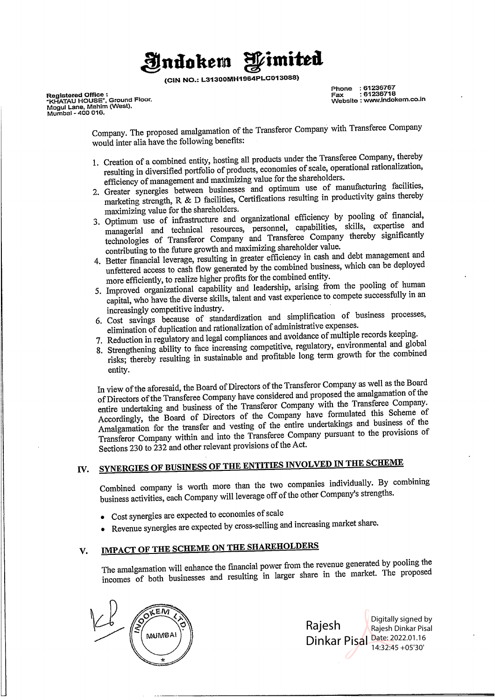# **ljndokem ~imited**

(CIN **NO.:** L31300MH1964PLC013088)

**Registered Office : "KHATAU HOUSE", Ground Floor. Mogul Lane, Mahim {West), Mumbai - 400 016.** 

**Phone : 61236767 Fax : 61236718 Website : www.indokem.co.in** 

Company. The proposed amalgamation of the Transferor Company with Transferee Company would inter alia have the following benefits:

- 1. Creation of a combined entity, hosting all products under the Transferee Company, thereby resulting in diversified portfolio of products, economies of scale, operational rationalization, efficiency of management and maximizing value for the shareholders.
- 2. Greater synergies between businesses and optimum use of manufacturing facilities, marketing strength, R & D facilities, Certifications resulting in productivity gains thereby maximizing value for the shareholders.
- 3. Optimum use of infrastructure and organizational efficiency by pooling of financial, managerial and technical resources, personnel, capabilities, skills, expertise and technologies of Transferor Company and Transferee Company thereby significantly contributing to the future growth and maximizing shareholder value.
- 4. Better financial leverage, resulting in greater efficiency in cash and debt management and unfettered access to cash flow generated by the combined business, which can be deployed more efficiently, to realize higher profits for the combined entity.
- 5. Improved organizational capability and leadership, arising from the pooling of human capital, who have the diverse skills, talent and vast experience to compete successfully in an increasingly competitive industry.
- 6. Cost savings because of standardization and simplification of business processes, elimination of duplication and rationalization of administrative expenses.
- 7. Reduction in regulatory and legal compliances and avoidance of multiple records keeping.
- 8. Strengthening ability to face increasing competitive, regulatory, environmental and global risks; thereby resulting in sustainable and profitable long term growth for the combined entity.

In view of the aforesaid, the Board of Directors of the Transferor Company as well as the Board of Directors of the Transferee Company have considered and proposed the amalgamation of the entire undertaking and business of the Transferor Company with the Transferee Company. Accordingly, the Board of Directors of the Company have formulated this Scheme of Amalgamation for the transfer and vesting of the entire undertakings and business of the Transferor Company within and into the Transferee Company pursuant to the provisions of Sections 230 to 232 and other relevant provisions of the Act.

# IV. **SYNERGIES OF BUSINESS OF THE ENTITIES INVOLVED IN THE SCHEME**

Combined company is worth more than the two companies individually. By combining business activities, each Company will leverage off of the other Company's strengths.

- Cost synergies are expected to economies of scale
- Revenue synergies are expected by cross-selling and increasing market share.

# V. IMP **ACT OF THE SCHEME ON THE SHAREHOLDERS**

The amalgamation will enhance the financial power from the revenue generated by pooling the incomes of both businesses and resulting in larger share in the market. The proposed



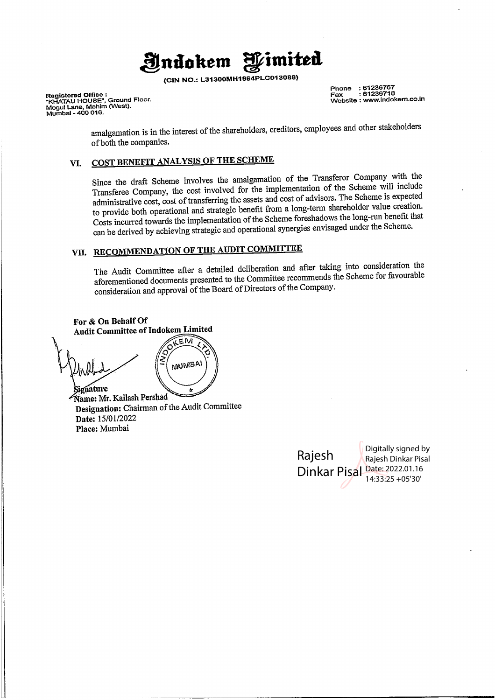# **Jl!ntlo kem ~imited**

**(CIN NO.: L31300MH1964PLC013088)** 

**Registered Office : "KHATAU HOUSE", Ground Floor. Mogul Lane, Mahim (West), Mumbai - 400 016.** 

**Phone : 61236767 Fax : 61236718 Website : www.indokem.co.in** 

amalgamation is in the interest of the shareholders, creditors, employees and other stakeholders of both the companies.

## **VI. COST BENEFIT ANALYSIS OF THE SCHEME**

Since the draft Scheme involves the amalgamation of the Transferor Company with the Transferee Company, the cost involved for the implementation of the Scheme will include administrative cost, cost of transferring the assets and cost of advisors. The Scheme is expected to provide both operational and strategic benefit from a long-term shareholder value creation. Costs incurred towards the implementation of the Scheme foreshadows the long-run benefit that can be derived by achieving strategic and operational synergies envisaged under the Scheme.

# **VII. RECOMMENDATION OF THE AUDIT COMMITTEE**

MUMBAI

The Audit Committee after a detailed deliberation and after taking into consideration the aforementioned documents presented to the Committee recommends the Scheme for favourable consideration and approval of the Board of Directors of the Company.

**For** & **On Behalf Of**  KEM

**'gnature amei** Mr. Kailash Pershad **Designation:** Chairman of the Audit Committee **Date:** 15/01/2022 **Place:** Mumbai

Rajesh Dinkar Pisal Date: 2022.01.16 Digitally signed by Rajesh Dinkar Pisal 14:33:25 +05'30'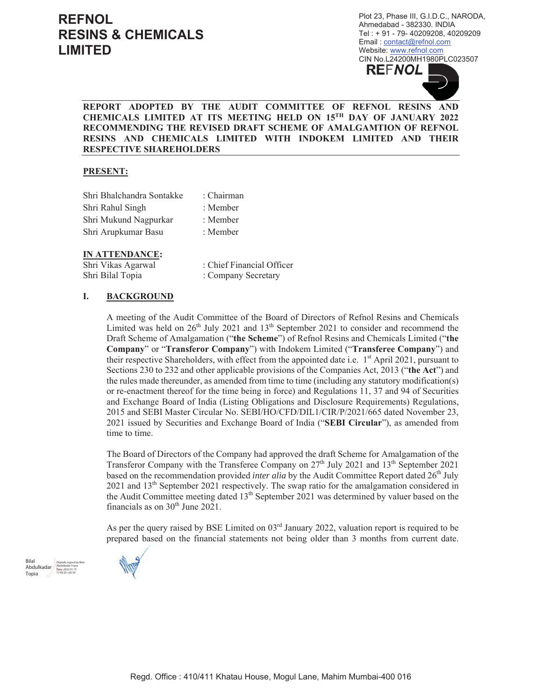Plot 23, Phase III, G.I.D.C., NARODA, Ahmedabad - 382330. INDIA Tel: +91 - 79-40209208, 40209209 Email: contact@refnol.com Website: www.refnol.com CIN No.L24200MH1980PLC023507



### REPORT ADOPTED BY THE AUDIT COMMITTEE OF REFNOL RESINS AND CHEMICALS LIMITED AT ITS MEETING HELD ON 15TH DAY OF JANUARY 2022 RECOMMENDING THE REVISED DRAFT SCHEME OF AMALGAMTION OF REFNOL RESINS AND CHEMICALS LIMITED WITH INDOKEM LIMITED AND THEIR **RESPECTIVE SHAREHOLDERS**

### **PRESENT:**

| Shri Bhalchandra Sontakke | : Chairman |
|---------------------------|------------|
| Shri Rahul Singh          | : Member   |
| Shri Mukund Nagpurkar     | : Member   |
| Shri Arupkumar Basu       | : Member   |

#### **IN ATTENDANCE:**

Shri Vikas Agarwal : Chief Financial Officer Shri Bilal Topia : Company Secretary

#### I. **BACKGROUND**

A meeting of the Audit Committee of the Board of Directors of Refnol Resins and Chemicals Limited was held on  $26<sup>th</sup>$  July 2021 and  $13<sup>th</sup>$  September 2021 to consider and recommend the Draft Scheme of Amalgamation ("the Scheme") of Refinol Resins and Chemicals Limited ("the Company" or "Transferor Company") with Indokem Limited ("Transferee Company") and their respective Shareholders, with effect from the appointed date i.e. 1<sup>st</sup> April 2021, pursuant to Sections 230 to 232 and other applicable provisions of the Companies Act, 2013 ("the Act") and the rules made thereunder, as amended from time to time (including any statutory modification(s) or re-enactment thereof for the time being in force) and Regulations 11, 37 and 94 of Securities and Exchange Board of India (Listing Obligations and Disclosure Requirements) Regulations, 2015 and SEBI Master Circular No. SEBI/HO/CFD/DIL1/CIR/P/2021/665 dated November 23, 2021 issued by Securities and Exchange Board of India ("SEBI Circular"), as amended from time to time.

The Board of Directors of the Company had approved the draft Scheme for Amalgamation of the Transferor Company with the Transferee Company on  $27<sup>th</sup>$  July 2021 and  $13<sup>th</sup>$  September 2021 based on the recommendation provided *inter alia* by the Audit Committee Report dated 26<sup>th</sup> July  $2021$  and  $13<sup>th</sup>$  September 2021 respectively. The swap ratio for the amalgamation considered in the Audit Committee meeting dated 13<sup>th</sup> September 2021 was determined by valuer based on the financials as on  $30<sup>th</sup>$  June 2021.

As per the query raised by BSE Limited on 03rd January 2022, valuation report is required to be prepared based on the financial statements not being older than 3 months from current date.



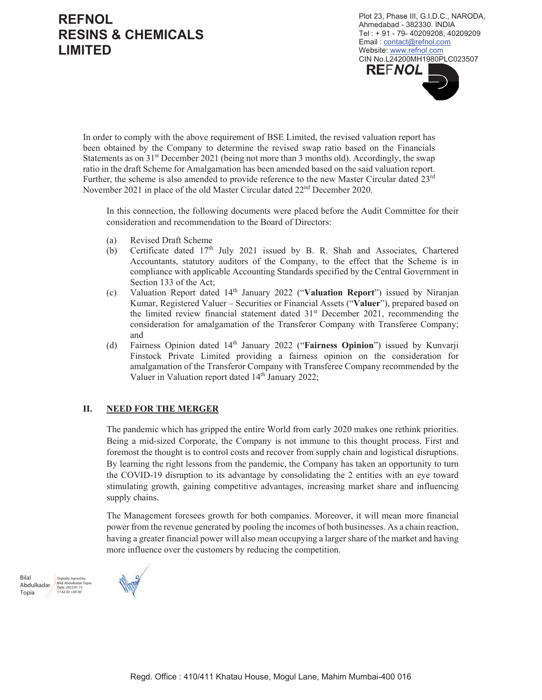Plot 23, Phase III, G.I.D.C., NARODA, Ahmedabad - 382330. INDIA Tel: +91 - 79-40209208, 40209209 Email: contact@refnol.com Website: www.refnol.com CIN No.L24200MH1980PLC023507 **REFNOL** 

In order to comply with the above requirement of BSE Limited, the revised valuation report has been obtained by the Company to determine the revised swap ratio based on the Financials Statements as on  $31<sup>st</sup>$  December 2021 (being not more than 3 months old). Accordingly, the swap ratio in the draft Scheme for Amalgamation has been amended based on the said valuation report. Further, the scheme is also amended to provide reference to the new Master Circular dated 23rd November 2021 in place of the old Master Circular dated 22<sup>nd</sup> December 2020.

In this connection, the following documents were placed before the Audit Committee for their consideration and recommendation to the Board of Directors:

- **Revised Draft Scheme**  $(a)$
- Certificate dated 17<sup>th</sup> July 2021 issued by B. R. Shah and Associates, Chartered (b) Accountants, statutory auditors of the Company, to the effect that the Scheme is in compliance with applicable Accounting Standards specified by the Central Government in Section 133 of the Act;
- Valuation Report dated 14<sup>th</sup> January 2022 ("Valuation Report") issued by Niranjan  $(c)$ Kumar, Registered Valuer – Securities or Financial Assets ("Valuer"), prepared based on the limited review financial statement dated 31<sup>st</sup> December 2021, recommending the consideration for amalgamation of the Transferor Company with Transferee Company; and
- Fairness Opinion dated 14th January 2022 ("Fairness Opinion") issued by Kunvarji  $(d)$ Finstock Private Limited providing a fairness opinion on the consideration for amalgamation of the Transferor Company with Transferee Company recommended by the Valuer in Valuation report dated 14th January 2022;

#### II. **NEED FOR THE MERGER**

The pandemic which has gripped the entire World from early 2020 makes one rethink priorities. Being a mid-sized Corporate, the Company is not immune to this thought process. First and foremost the thought is to control costs and recover from supply chain and logistical disruptions. By learning the right lessons from the pandemic, the Company has taken an opportunity to turn the COVID-19 disruption to its advantage by consolidating the 2 entities with an eye toward stimulating growth, gaining competitive advantages, increasing market share and influencing supply chains.

The Management foresees growth for both companies. Moreover, it will mean more financial power from the revenue generated by pooling the incomes of both businesses. As a chain reaction, having a greater financial power will also mean occupying a larger share of the market and having more influence over the customers by reducing the competition.

Bilal Abdulkadar 2000160081 Topia  $17.42.43 + 05.30$ 

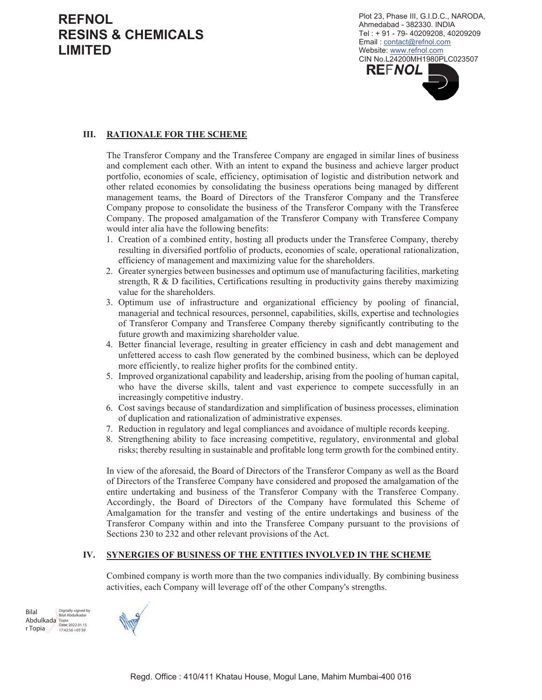Plot 23, Phase III, G.I.D.C., NARODA, Ahmedabad - 382330. INDIA Tel: +91 - 79-40209208, 40209209 Email: contact@refnol.com Website: www.refnol.com CIN No.L24200MH1980PLC023507 **REFNOL** 

#### Ш. **RATIONALE FOR THE SCHEME**

The Transferor Company and the Transferee Company are engaged in similar lines of business and complement each other. With an intent to expand the business and achieve larger product portfolio, economies of scale, efficiency, optimisation of logistic and distribution network and other related economies by consolidating the business operations being managed by different management teams, the Board of Directors of the Transferor Company and the Transferee Company propose to consolidate the business of the Transferor Company with the Transferee Company. The proposed amalgamation of the Transferor Company with Transferee Company would inter alia have the following benefits:

- 1. Creation of a combined entity, hosting all products under the Transferee Company, thereby resulting in diversified portfolio of products, economies of scale, operational rationalization, efficiency of management and maximizing value for the shareholders.
- 2. Greater synergies between businesses and optimum use of manufacturing facilities, marketing strength, R & D facilities, Certifications resulting in productivity gains thereby maximizing value for the shareholders.
- 3. Optimum use of infrastructure and organizational efficiency by pooling of financial, managerial and technical resources, personnel, capabilities, skills, expertise and technologies of Transferor Company and Transferee Company thereby significantly contributing to the future growth and maximizing shareholder value.
- 4. Better financial leverage, resulting in greater efficiency in cash and debt management and unfettered access to cash flow generated by the combined business, which can be deployed more efficiently, to realize higher profits for the combined entity.
- 5. Improved organizational capability and leadership, arising from the pooling of human capital, who have the diverse skills, talent and vast experience to compete successfully in an increasingly competitive industry.
- 6. Cost savings because of standardization and simplification of business processes, elimination of duplication and rationalization of administrative expenses.
- 7. Reduction in regulatory and legal compliances and avoidance of multiple records keeping.
- 8. Strengthening ability to face increasing competitive, regulatory, environmental and global risks; thereby resulting in sustainable and profitable long term growth for the combined entity.

In view of the aforesaid, the Board of Directors of the Transferor Company as well as the Board of Directors of the Transferee Company have considered and proposed the amalgamation of the entire undertaking and business of the Transferor Company with the Transferee Company. Accordingly, the Board of Directors of the Company have formulated this Scheme of Amalgamation for the transfer and vesting of the entire undertakings and business of the Transferor Company within and into the Transferee Company pursuant to the provisions of Sections 230 to 232 and other relevant provisions of the Act.

#### IV. **SYNERGIES OF BUSINESS OF THE ENTITIES INVOLVED IN THE SCHEME**

Combined company is worth more than the two companies individually. By combining business activities, each Company will leverage off of the other Company's strengths.

Digitally signed by **Bilal** Bilal Abdulkada Abdulkada Topia<br>Abdulkada Topia r Topia  $\angle$  $17:42:56 + 05'30$